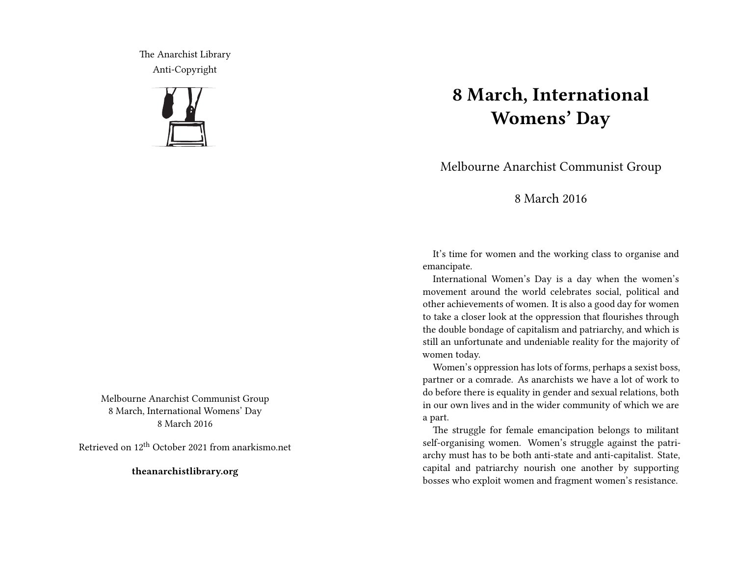The Anarchist Library Anti-Copyright



Melbourne Anarchist Communist Group 8 March, International Womens' Day 8 March 2016

Retrieved on 12th October 2021 from anarkismo.net

**theanarchistlibrary.org**

## **8 March, International Womens' Day**

Melbourne Anarchist Communist Group

## 8 March 2016

It's time for women and the working class to organise and emancipate.

International Women's Day is a day when the women's movement around the world celebrates social, political and other achievements of women. It is also a good day for women to take a closer look at the oppression that flourishes through the double bondage of capitalism and patriarchy, and which is still an unfortunate and undeniable reality for the majority of women today.

Women's oppression has lots of forms, perhaps a sexist boss, partner or a comrade. As anarchists we have a lot of work to do before there is equality in gender and sexual relations, both in our own lives and in the wider community of which we are a part.

The struggle for female emancipation belongs to militant self-organising women. Women's struggle against the patriarchy must has to be both anti-state and anti-capitalist. State, capital and patriarchy nourish one another by supporting bosses who exploit women and fragment women's resistance.